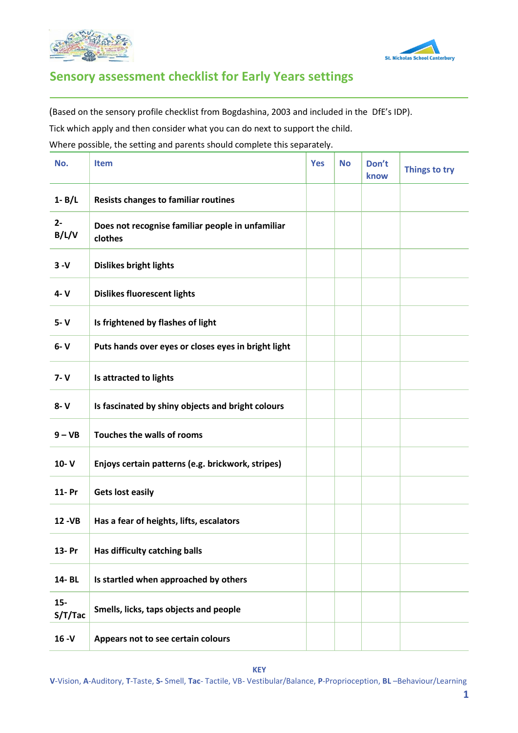



## **Sensory assessment checklist for Early Years settings**

(Based on the sensory profile checklist from Bogdashina, 2003 and included in the DfE's IDP).

Tick which apply and then consider what you can do next to support the child.

Where possible, the setting and parents should complete this separately.

| No.              | <b>Item</b>                                                 | <b>Yes</b> | <b>No</b> | Don't<br>know | Things to try |
|------------------|-------------------------------------------------------------|------------|-----------|---------------|---------------|
| $1 - B/L$        | <b>Resists changes to familiar routines</b>                 |            |           |               |               |
| $2 -$<br>B/L/V   | Does not recognise familiar people in unfamiliar<br>clothes |            |           |               |               |
| $3 - V$          | <b>Dislikes bright lights</b>                               |            |           |               |               |
| 4- V             | <b>Dislikes fluorescent lights</b>                          |            |           |               |               |
| $5 - V$          | Is frightened by flashes of light                           |            |           |               |               |
| $6 - V$          | Puts hands over eyes or closes eyes in bright light         |            |           |               |               |
| $7 - V$          | Is attracted to lights                                      |            |           |               |               |
| $8 - V$          | Is fascinated by shiny objects and bright colours           |            |           |               |               |
| $9 - VB$         | Touches the walls of rooms                                  |            |           |               |               |
| $10 - V$         | Enjoys certain patterns (e.g. brickwork, stripes)           |            |           |               |               |
| 11- Pr           | <b>Gets lost easily</b>                                     |            |           |               |               |
| 12 - VB          | Has a fear of heights, lifts, escalators                    |            |           |               |               |
| 13- Pr           | Has difficulty catching balls                               |            |           |               |               |
| 14-BL            | Is startled when approached by others                       |            |           |               |               |
| $15-$<br>S/T/Tac | Smells, licks, taps objects and people                      |            |           |               |               |
| $16 - V$         | Appears not to see certain colours                          |            |           |               |               |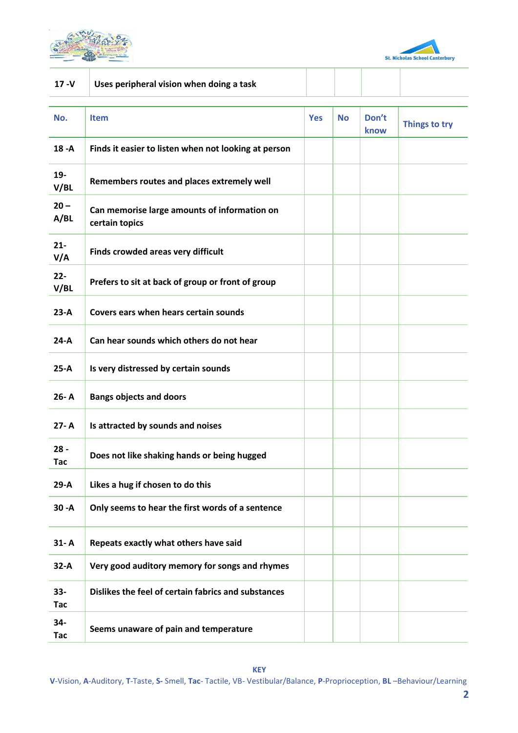



| $17 - V$             | Uses peripheral vision when doing a task                       |            |           |               |               |
|----------------------|----------------------------------------------------------------|------------|-----------|---------------|---------------|
| No.                  | <b>Item</b>                                                    | <b>Yes</b> | <b>No</b> | Don't<br>know | Things to try |
| $18 - A$             | Finds it easier to listen when not looking at person           |            |           |               |               |
| $19 -$<br>V/BL       | Remembers routes and places extremely well                     |            |           |               |               |
| $20 -$<br>A/BL       | Can memorise large amounts of information on<br>certain topics |            |           |               |               |
| $21 -$<br>V/A        | Finds crowded areas very difficult                             |            |           |               |               |
| $22 -$<br>V/BL       | Prefers to sit at back of group or front of group              |            |           |               |               |
| $23-A$               | Covers ears when hears certain sounds                          |            |           |               |               |
| $24-A$               | Can hear sounds which others do not hear                       |            |           |               |               |
| $25-A$               | Is very distressed by certain sounds                           |            |           |               |               |
| 26-A                 | <b>Bangs objects and doors</b>                                 |            |           |               |               |
| $27 - A$             | Is attracted by sounds and noises                              |            |           |               |               |
| $28 -$<br>Tac        | Does not like shaking hands or being hugged                    |            |           |               |               |
| $29-A$               | Likes a hug if chosen to do this                               |            |           |               |               |
| $30 - A$             | Only seems to hear the first words of a sentence               |            |           |               |               |
| $31 - A$             | Repeats exactly what others have said                          |            |           |               |               |
| $32-A$               | Very good auditory memory for songs and rhymes                 |            |           |               |               |
| $33 -$<br><b>Tac</b> | Dislikes the feel of certain fabrics and substances            |            |           |               |               |
| 34-<br><b>Tac</b>    | Seems unaware of pain and temperature                          |            |           |               |               |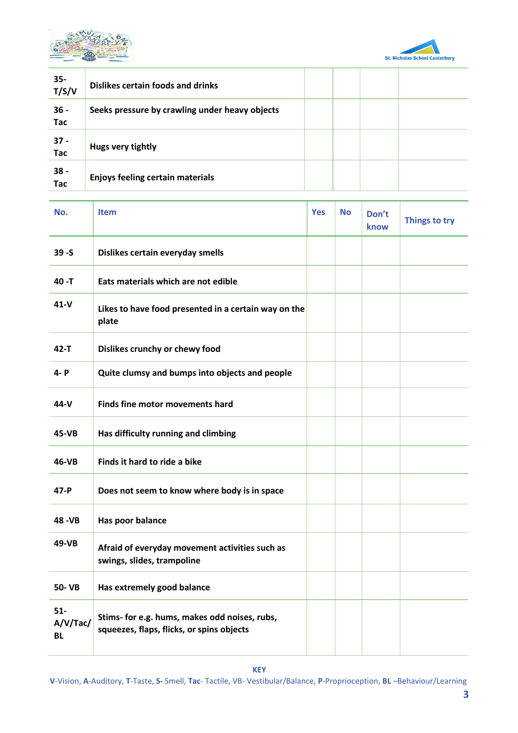



| $35 -$<br>T/S/V      | Dislikes certain foods and drinks              |  |  |
|----------------------|------------------------------------------------|--|--|
| $36 -$<br><b>Tac</b> | Seeks pressure by crawling under heavy objects |  |  |
| $37 -$<br><b>Tac</b> | Hugs very tightly                              |  |  |
| $38 -$<br><b>Tac</b> | <b>Enjoys feeling certain materials</b>        |  |  |

| No.                            | <b>Item</b>                                                                                | <b>Yes</b> | <b>No</b> | Don't<br><b>know</b> | Things to try |
|--------------------------------|--------------------------------------------------------------------------------------------|------------|-----------|----------------------|---------------|
| $39 - S$                       | Dislikes certain everyday smells                                                           |            |           |                      |               |
| 40 -T                          | Eats materials which are not edible                                                        |            |           |                      |               |
| $41 - V$                       | Likes to have food presented in a certain way on the<br>plate                              |            |           |                      |               |
| $42 - T$                       | Dislikes crunchy or chewy food                                                             |            |           |                      |               |
| 4- P                           | Quite clumsy and bumps into objects and people                                             |            |           |                      |               |
| 44-V                           | <b>Finds fine motor movements hard</b>                                                     |            |           |                      |               |
| 45-VB                          | Has difficulty running and climbing                                                        |            |           |                      |               |
| 46-VB                          | Finds it hard to ride a bike                                                               |            |           |                      |               |
| 47-P                           | Does not seem to know where body is in space                                               |            |           |                      |               |
| 48 - VB                        | Has poor balance                                                                           |            |           |                      |               |
| 49-VB                          | Afraid of everyday movement activities such as<br>swings, slides, trampoline               |            |           |                      |               |
| 50- VB                         | Has extremely good balance                                                                 |            |           |                      |               |
| $51-$<br>A/V/Tac/<br><b>BL</b> | Stims- for e.g. hums, makes odd noises, rubs,<br>squeezes, flaps, flicks, or spins objects |            |           |                      |               |